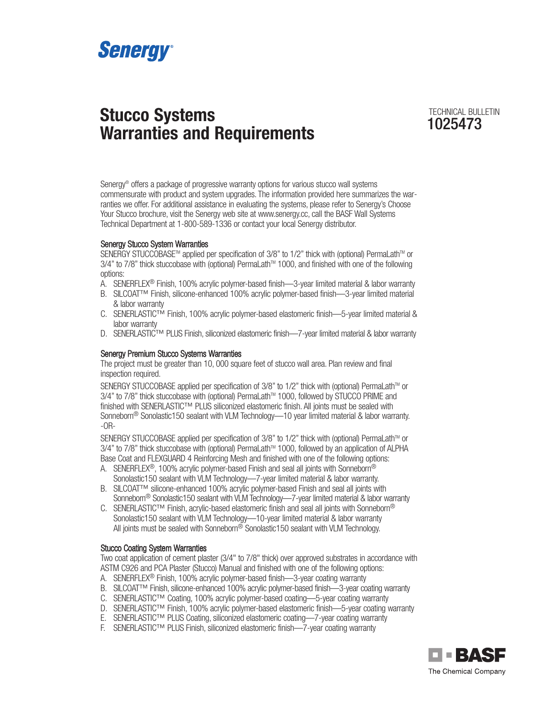

# **Stucco Systems Warranties and Requirements**

TECHNICAL BULLETIN

Senergy® offers a package of progressive warranty options for various stucco wall systems commensurate with product and system upgrades. The information provided here summarizes the warranties we offer. For additional assistance in evaluating the systems, please refer to Senergy's Choose Your Stucco brochure, visit the Senergy web site at www.senergy.cc, call the BASF Wall Systems Technical Department at 1-800-589-1336 or contact your local Senergy distributor.

# Senergy Stucco System Warranties

SENERGY STUCCOBASE™ applied per specification of 3/8" to 1/2" thick with (optional) PermaLath™ or 3/4" to 7/8" thick stuccobase with (optional) PermaLath™ 1000, and finished with one of the following options:

- A. SENERFLEX<sup>®</sup> Finish, 100% acrylic polymer-based finish—3-year limited material & labor warranty
- B. SILCOAT™ Finish, silicone-enhanced 100% acrylic polymer-based finish—3-year limited material & labor warranty
- C. SENERLASTIC™ Finish, 100% acrylic polymer-based elastomeric finish—5-year limited material & labor warranty
- D. SENERLASTIC™ PLUS Finish, siliconized elastomeric finish—7-year limited material & labor warranty

# Senergy Premium Stucco Systems Warranties

The project must be greater than 10, 000 square feet of stucco wall area. Plan review and final inspection required.

SENERGY STUCCOBASE applied per specification of 3/8" to 1/2" thick with (optional) PermaLath™ or 3/4" to 7/8" thick stuccobase with (optional) PermaLath™ 1000, followed by STUCCO PRIME and finished with SENERLASTIC™ PLUS siliconized elastomeric finish. All joints must be sealed with Sonneborn® Sonolastic150 sealant with VLM Technology—10 year limited material & labor warranty. -OR-

SENERGY STUCCOBASE applied per specification of 3/8" to 1/2" thick with (optional) PermaLath™ or 3/4" to 7/8" thick stuccobase with (optional) PermaLath™ 1000, followed by an application of ALPHA Base Coat and FLEXGUARD 4 Reinforcing Mesh and finished with one of the following options:

- A. SENERFLEX<sup>®</sup>, 100% acrylic polymer-based Finish and seal all joints with Sonneborn<sup>®</sup> Sonolastic150 sealant with VLM Technology—7-year limited material & labor warranty.
- B. SILCOAT™ silicone-enhanced 100% acrylic polymer-based Finish and seal all joints with Sonneborn<sup>®</sup> Sonolastic150 sealant with VLM Technology—7-year limited material & labor warranty
- C. SENERLASTIC™ Finish, acrylic-based elastomeric finish and seal all joints with Sonneborn® Sonolastic150 sealant with VLM Technology—10-year limited material & labor warranty All joints must be sealed with Sonneborn® Sonolastic150 sealant with VLM Technology.

# Stucco Coating System Warranties

Two coat application of cement plaster (3/4" to 7/8" thick) over approved substrates in accordance with ASTM C926 and PCA Plaster (Stucco) Manual and finished with one of the following options:

- A. SENERFLEX® Finish, 100% acrylic polymer-based finish—3-year coating warranty
- B. SILCOAT™ Finish, silicone-enhanced 100% acrylic polymer-based finish—3-year coating warranty
- C. SENERLASTIC™ Coating, 100% acrylic polymer-based coating—5-year coating warranty
- D. SENERLASTIC™ Finish, 100% acrylic polymer-based elastomeric finish—5-year coating warranty
- E. SENERLASTIC™ PLUS Coating, siliconized elastomeric coating—7-year coating warranty
- F. SENERLASTIC™ PLUS Finish, siliconized elastomeric finish—7-year coating warranty